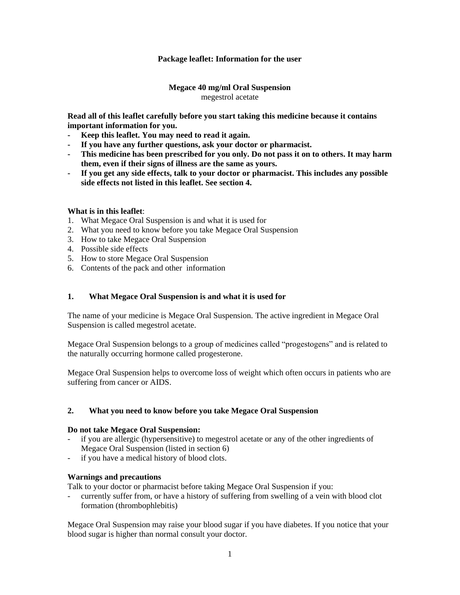# **Package leaflet: Information for the user**

# **Megace 40 mg/ml Oral Suspension** megestrol acetate

**Read all of this leaflet carefully before you start taking this medicine because it contains important information for you.**

- **- Keep this leaflet. You may need to read it again.**
- **- If you have any further questions, ask your doctor or pharmacist.**
- **- This medicine has been prescribed for you only. Do not pass it on to others. It may harm them, even if their signs of illness are the same as yours.**
- **- If you get any side effects, talk to your doctor or pharmacist. This includes any possible side effects not listed in this leaflet. See section 4.**

# **What is in this leaflet**:

- 1. What Megace Oral Suspension is and what it is used for
- 2. What you need to know before you take Megace Oral Suspension
- 3. How to take Megace Oral Suspension
- 4. Possible side effects
- 5. How to store Megace Oral Suspension
- 6. Contents of the pack and other information

## **1. What Megace Oral Suspension is and what it is used for**

The name of your medicine is Megace Oral Suspension. The active ingredient in Megace Oral Suspension is called megestrol acetate.

Megace Oral Suspension belongs to a group of medicines called "progestogens" and is related to the naturally occurring hormone called progesterone.

Megace Oral Suspension helps to overcome loss of weight which often occurs in patients who are suffering from cancer or AIDS.

### **2. What you need to know before you take Megace Oral Suspension**

### **Do not take Megace Oral Suspension:**

- if you are allergic (hypersensitive) to megestrol acetate or any of the other ingredients of Megace Oral Suspension (listed in section 6)
- if you have a medical history of blood clots.

### **Warnings and precautions**

Talk to your doctor or pharmacist before taking Megace Oral Suspension if you:

- currently suffer from, or have a history of suffering from swelling of a vein with blood clot formation (thrombophlebitis)

Megace Oral Suspension may raise your blood sugar if you have diabetes. If you notice that your blood sugar is higher than normal consult your doctor.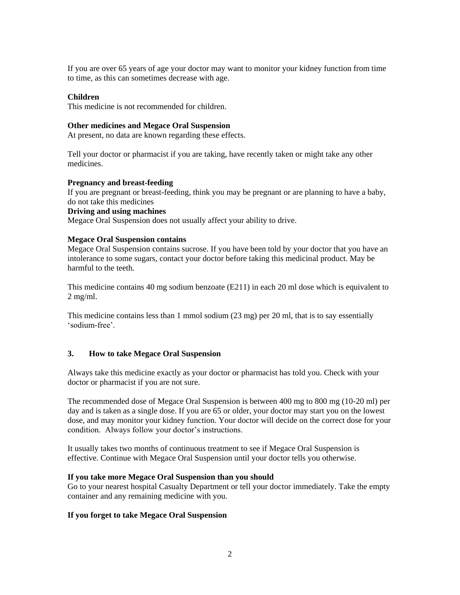If you are over 65 years of age your doctor may want to monitor your kidney function from time to time, as this can sometimes decrease with age.

## **Children**

This medicine is not recommended for children.

#### **Other medicines and Megace Oral Suspension**

At present, no data are known regarding these effects.

Tell your doctor or pharmacist if you are taking, have recently taken or might take any other medicines.

#### **Pregnancy and breast-feeding**

If you are pregnant or breast-feeding, think you may be pregnant or are planning to have a baby, do not take this medicines

## **Driving and using machines**

Megace Oral Suspension does not usually affect your ability to drive.

### **Megace Oral Suspension contains**

Megace Oral Suspension contains sucrose. If you have been told by your doctor that you have an intolerance to some sugars, contact your doctor before taking this medicinal product. May be harmful to the teeth.

This medicine contains 40 mg sodium benzoate (E211) in each 20 ml dose which is equivalent to 2 mg/ml.

This medicine contains less than 1 mmol sodium (23 mg) per 20 ml, that is to say essentially 'sodium-free'.

### **3. How to take Megace Oral Suspension**

Always take this medicine exactly as your doctor or pharmacist has told you. Check with your doctor or pharmacist if you are not sure.

The recommended dose of Megace Oral Suspension is between 400 mg to 800 mg (10-20 ml) per day and is taken as a single dose. If you are 65 or older, your doctor may start you on the lowest dose, and may monitor your kidney function. Your doctor will decide on the correct dose for your condition. Always follow your doctor's instructions.

It usually takes two months of continuous treatment to see if Megace Oral Suspension is effective. Continue with Megace Oral Suspension until your doctor tells you otherwise.

#### **If you take more Megace Oral Suspension than you should**

Go to your nearest hospital Casualty Department or tell your doctor immediately. Take the empty container and any remaining medicine with you.

### **If you forget to take Megace Oral Suspension**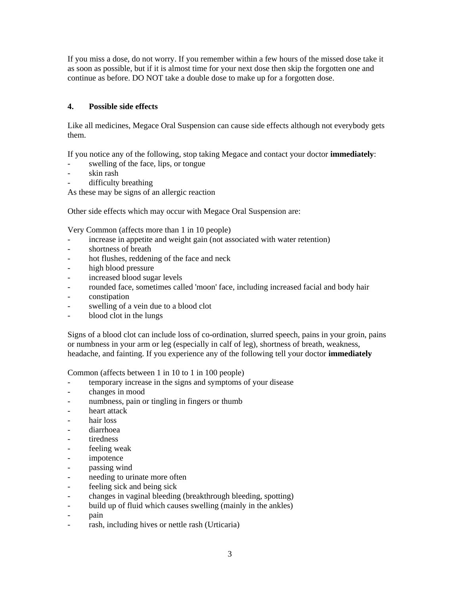If you miss a dose, do not worry. If you remember within a few hours of the missed dose take it as soon as possible, but if it is almost time for your next dose then skip the forgotten one and continue as before. DO NOT take a double dose to make up for a forgotten dose.

# **4. Possible side effects**

Like all medicines, Megace Oral Suspension can cause side effects although not everybody gets them.

If you notice any of the following, stop taking Megace and contact your doctor **immediately**:

- swelling of the face, lips, or tongue
- skin rash
- difficulty breathing

As these may be signs of an allergic reaction

Other side effects which may occur with Megace Oral Suspension are:

Very Common (affects more than 1 in 10 people)

- increase in appetite and weight gain (not associated with water retention)
- shortness of breath
- hot flushes, reddening of the face and neck
- high blood pressure
- increased blood sugar levels
- rounded face, sometimes called 'moon' face, including increased facial and body hair
- constipation
- swelling of a vein due to a blood clot
- blood clot in the lungs

Signs of a blood clot can include loss of co-ordination, slurred speech, pains in your groin, pains or numbness in your arm or leg (especially in calf of leg), shortness of breath, weakness, headache, and fainting. If you experience any of the following tell your doctor **immediately**

Common (affects between 1 in 10 to 1 in 100 people)

- temporary increase in the signs and symptoms of your disease
- changes in mood
- numbness, pain or tingling in fingers or thumb
- heart attack
- hair loss
- diarrhoea
- tiredness
- feeling weak
- impotence
- passing wind
- needing to urinate more often
- feeling sick and being sick
- changes in vaginal bleeding (breakthrough bleeding, spotting)
- build up of fluid which causes swelling (mainly in the ankles)
- pain
- rash, including hives or nettle rash (Urticaria)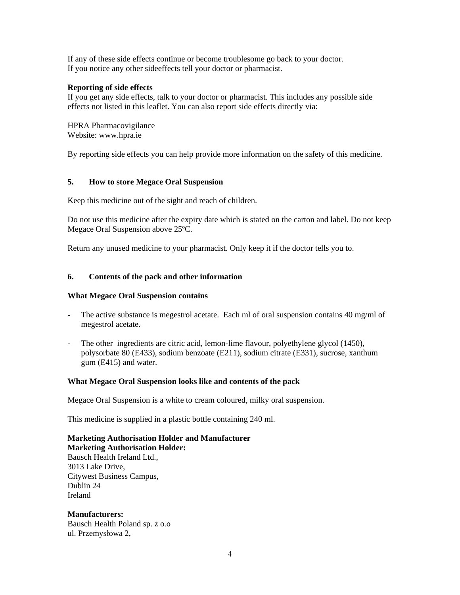If any of these side effects continue or become troublesome go back to your doctor. If you notice any other sideeffects tell your doctor or pharmacist.

# **Reporting of side effects**

If you get any side effects, talk to your doctor or pharmacist. This includes any possible side effects not listed in this leaflet. You can also report side effects directly via:

HPRA Pharmacovigilance Website: www.hpra.ie

By reporting side effects you can help provide more information on the safety of this medicine.

# **5. How to store Megace Oral Suspension**

Keep this medicine out of the sight and reach of children.

Do not use this medicine after the expiry date which is stated on the carton and label. Do not keep Megace Oral Suspension above 25ºC.

Return any unused medicine to your pharmacist. Only keep it if the doctor tells you to.

# **6. Contents of the pack and other information**

### **What Megace Oral Suspension contains**

- The active substance is megestrol acetate. Each ml of oral suspension contains 40 mg/ml of megestrol acetate.
- The other ingredients are citric acid, lemon-lime flavour, polyethylene glycol (1450), polysorbate 80 (E433), sodium benzoate (E211), sodium citrate (E331), sucrose, xanthum gum (E415) and water.

### **What Megace Oral Suspension looks like and contents of the pack**

Megace Oral Suspension is a white to cream coloured, milky oral suspension.

This medicine is supplied in a plastic bottle containing 240 ml.

**Marketing Authorisation Holder and Manufacturer Marketing Authorisation Holder:** Bausch Health Ireland Ltd., 3013 Lake Drive, Citywest Business Campus, Dublin 24 Ireland

**Manufacturers:** Bausch Health Poland sp. z o.o ul. Przemysłowa 2,